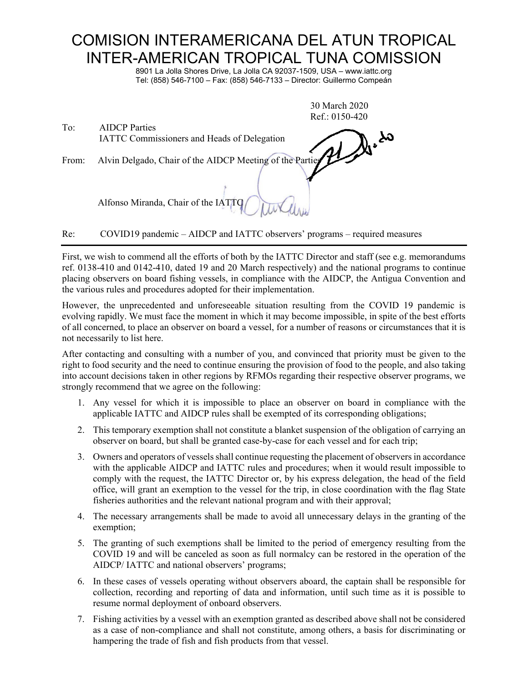## COMISION INTERAMERICANA DEL ATUN TROPICAL INTER-AMERICAN TROPICAL TUNA COMISSION

8901 La Jolla Shores Drive, La Jolla CA 92037-1509, USA – www.iattc.org Tel: (858) 546-7100 – Fax: (858) 546-7133 – Director: Guillermo Compeán

30 March 2020

|       | 30 March 2020<br>Ref.: 0150-420                                     |  |
|-------|---------------------------------------------------------------------|--|
| To:   | <b>AIDCP</b> Parties<br>IATTC Commissioners and Heads of Delegation |  |
| From: | Alvin Delgado, Chair of the AIDCP Meeting of the Partie             |  |
|       | Alfonso Miranda, Chair of the IATTO                                 |  |
|       |                                                                     |  |

Re: COVID19 pandemic – AIDCP and IATTC observers' programs – required measures

First, we wish to commend all the efforts of both by the IATTC Director and staff (see e.g. memorandums ref. 0138-410 and 0142-410, dated 19 and 20 March respectively) and the national programs to continue placing observers on board fishing vessels, in compliance with the AIDCP, the Antigua Convention and the various rules and procedures adopted for their implementation.

However, the unprecedented and unforeseeable situation resulting from the COVID 19 pandemic is evolving rapidly. We must face the moment in which it may become impossible, in spite of the best efforts of all concerned, to place an observer on board a vessel, for a number of reasons or circumstances that it is not necessarily to list here.

After contacting and consulting with a number of you, and convinced that priority must be given to the right to food security and the need to continue ensuring the provision of food to the people, and also taking into account decisions taken in other regions by RFMOs regarding their respective observer programs, we strongly recommend that we agree on the following:

- 1. Any vessel for which it is impossible to place an observer on board in compliance with the applicable IATTC and AIDCP rules shall be exempted of its corresponding obligations;
- 2. This temporary exemption shall not constitute a blanket suspension of the obligation of carrying an observer on board, but shall be granted case-by-case for each vessel and for each trip;
- 3. Owners and operators of vessels shall continue requesting the placement of observersin accordance with the applicable AIDCP and IATTC rules and procedures; when it would result impossible to comply with the request, the IATTC Director or, by his express delegation, the head of the field office, will grant an exemption to the vessel for the trip, in close coordination with the flag State fisheries authorities and the relevant national program and with their approval;
- 4. The necessary arrangements shall be made to avoid all unnecessary delays in the granting of the exemption;
- 5. The granting of such exemptions shall be limited to the period of emergency resulting from the COVID 19 and will be canceled as soon as full normalcy can be restored in the operation of the AIDCP/ IATTC and national observers' programs;
- 6. In these cases of vessels operating without observers aboard, the captain shall be responsible for collection, recording and reporting of data and information, until such time as it is possible to resume normal deployment of onboard observers.
- 7. Fishing activities by a vessel with an exemption granted as described above shall not be considered as a case of non-compliance and shall not constitute, among others, a basis for discriminating or hampering the trade of fish and fish products from that vessel.